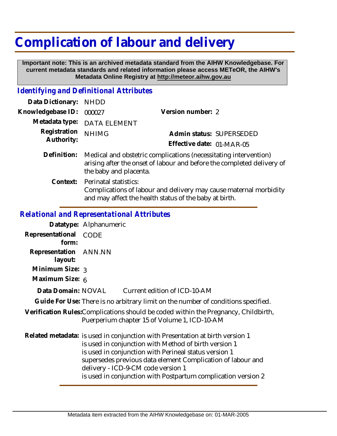## **Complication of labour and delivery**

 **Important note: This is an archived metadata standard from the AIHW Knowledgebase. For current metadata standards and related information please access METeOR, the AIHW's Metadata Online Registry at http://meteor.aihw.gov.au**

## *Identifying and Definitional Attributes*

| Data Dictionary:                           | <b>NHDD</b>                                                                                                                                                          |                           |  |
|--------------------------------------------|----------------------------------------------------------------------------------------------------------------------------------------------------------------------|---------------------------|--|
| Knowledgebase ID:                          | 000027                                                                                                                                                               | Version number: 2         |  |
| Metadata type:                             | <b>DATA ELEMENT</b>                                                                                                                                                  |                           |  |
| Registration<br>Authority:                 | <b>NHIMG</b>                                                                                                                                                         | Admin status: SUPERSEDED  |  |
|                                            |                                                                                                                                                                      | Effective date: 01-MAR-05 |  |
| Definition:                                | Medical and obstetric complications (necessitating intervention)<br>arising after the onset of labour and before the completed delivery of<br>the baby and placenta. |                           |  |
| Context:                                   | Perinatal statistics:<br>Complications of labour and delivery may cause maternal morbidity<br>and may affect the health status of the baby at birth.                 |                           |  |
| Relational and Representational Attributes |                                                                                                                                                                      |                           |  |

## *Relational and Representational Attributes*

|                                  | Datatype: Alphanumeric                                                                                                                                                                                                                                                                                                                                                |
|----------------------------------|-----------------------------------------------------------------------------------------------------------------------------------------------------------------------------------------------------------------------------------------------------------------------------------------------------------------------------------------------------------------------|
| Representational<br>form:        | CODE                                                                                                                                                                                                                                                                                                                                                                  |
| Representation ANN.NN<br>layout: |                                                                                                                                                                                                                                                                                                                                                                       |
| Minimum Size: 3                  |                                                                                                                                                                                                                                                                                                                                                                       |
| Maximum Size: 6                  |                                                                                                                                                                                                                                                                                                                                                                       |
| Data Domain: NOVAL               | Current edition of ICD-10-AM                                                                                                                                                                                                                                                                                                                                          |
|                                  | Guide For Use: There is no arbitrary limit on the number of conditions specified.                                                                                                                                                                                                                                                                                     |
|                                  | Verification Rules:Complications should be coded within the Pregnancy, Childbirth,<br>Puerperium chapter 15 of Volume 1, ICD-10-AM                                                                                                                                                                                                                                    |
|                                  | Related metadata: is used in conjunction with Presentation at birth version 1<br>is used in conjunction with Method of birth version 1<br>is used in conjunction with Perineal status version 1<br>supersedes previous data element Complication of labour and<br>delivery - ICD-9-CM code version 1<br>is used in conjunction with Postpartum complication version 2 |